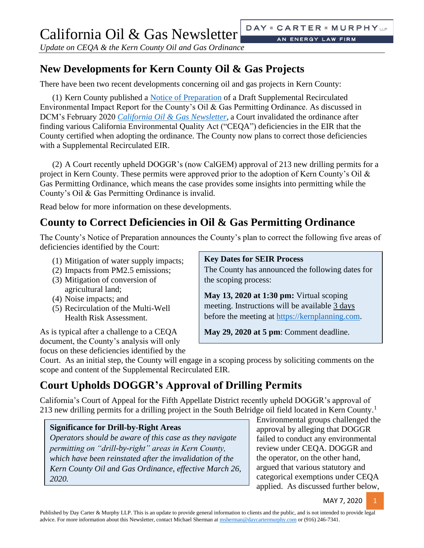AN ENERGY LAW FIRM

*Update on CEQA & the Kern County Oil and Gas Ordinance*

## **New Developments for Kern County Oil & Gas Projects**

There have been two recent developments concerning oil and gas projects in Kern County:

(1) Kern County published a [Notice of Preparation](https://psbweb.co.kern.ca.us/UtilityPages/Planning/EIRS/OG_SREIR/NOP/oil_gas_sreir_nop.pdf) of a Draft Supplemental Recirculated Environmental Impact Report for the County's Oil & Gas Permitting Ordinance. As discussed in DCM's February 2020 *[California Oil & Gas Newsletter](https://daycartermurphy.com/wp-content/uploads/2020/02/California-Oil-and-Gas-Newsletter-Update-on-the-Kern-County-Oil-Gas-Ordinance.pdf)*, a Court invalidated the ordinance after finding various California Environmental Quality Act ("CEQA") deficiencies in the EIR that the County certified when adopting the ordinance. The County now plans to correct those deficiencies with a Supplemental Recirculated EIR.

(2) A Court recently upheld DOGGR's (now CalGEM) approval of 213 new drilling permits for a project in Kern County. These permits were approved prior to the adoption of Kern County's Oil & Gas Permitting Ordinance, which means the case provides some insights into permitting while the County's Oil & Gas Permitting Ordinance is invalid.

Read below for more information on these developments.

## **County to Correct Deficiencies in Oil & Gas Permitting Ordinance**

The County's Notice of Preparation announces the County's plan to correct the following five areas of deficiencies identified by the Court:

- (1) Mitigation of water supply impacts;
- (2) Impacts from PM2.5 emissions;
- (3) Mitigation of conversion of agricultural land;
- (4) Noise impacts; and
- (5) Recirculation of the Multi-Well Health Risk Assessment.

As is typical after a challenge to a CEQA document, the County's analysis will only focus on these deficiencies identified by the

### **Key Dates for SEIR Process**

The County has announced the following dates for the scoping process:

**May 13, 2020 at 1:30 pm:** Virtual scoping meeting. Instructions will be available 3 days before the meeting at [https://kernplanning.com.](https://kernplanning.com/)

**May 29, 2020 at 5 pm**: Comment deadline.

Court. As an initial step, the County will engage in a scoping process by soliciting comments on the scope and content of the Supplemental Recirculated EIR.

# **Court Upholds DOGGR's Approval of Drilling Permits**

California's Court of Appeal for the Fifth Appellate District recently upheld DOGGR's approval of 213 new drilling permits for a drilling project in the South Belridge oil field located in Kern County.<sup>1</sup>

## **Significance for Drill-by-Right Areas**

*Operators should be aware of this case as they navigate permitting on "drill-by-right" areas in Kern County, which have been reinstated after the invalidation of the Kern County Oil and Gas Ordinance, effective March 26, 2020.* 

Environmental groups challenged the approval by alleging that DOGGR failed to conduct any environmental review under CEQA. DOGGR and the operator, on the other hand, argued that various statutory and categorical exemptions under CEQA applied. As discussed further below,

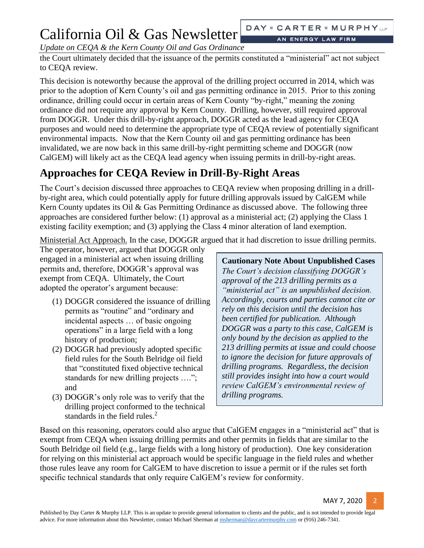# California Oil & Gas Newsletter

AN ENERGY LAW FIRM

*Update on CEQA & the Kern County Oil and Gas Ordinance*

the Court ultimately decided that the issuance of the permits constituted a "ministerial" act not subject to CEQA review.

This decision is noteworthy because the approval of the drilling project occurred in 2014, which was prior to the adoption of Kern County's oil and gas permitting ordinance in 2015. Prior to this zoning ordinance, drilling could occur in certain areas of Kern County "by-right," meaning the zoning ordinance did not require any approval by Kern County. Drilling, however, still required approval from DOGGR. Under this drill-by-right approach, DOGGR acted as the lead agency for CEQA purposes and would need to determine the appropriate type of CEQA review of potentially significant environmental impacts. Now that the Kern County oil and gas permitting ordinance has been invalidated, we are now back in this same drill-by-right permitting scheme and DOGGR (now CalGEM) will likely act as the CEQA lead agency when issuing permits in drill-by-right areas.

## **Approaches for CEQA Review in Drill-By-Right Areas**

The Court's decision discussed three approaches to CEQA review when proposing drilling in a drillby-right area, which could potentially apply for future drilling approvals issued by CalGEM while Kern County updates its Oil & Gas Permitting Ordinance as discussed above. The following three approaches are considered further below: (1) approval as a ministerial act; (2) applying the Class 1 existing facility exemption; and (3) applying the Class 4 minor alteration of land exemption.

Ministerial Act Approach. In the case, DOGGR argued that it had discretion to issue drilling permits.

The operator, however, argued that DOGGR only engaged in a ministerial act when issuing drilling permits and, therefore, DOGGR's approval was exempt from CEQA. Ultimately, the Court adopted the operator's argument because:

- (1) DOGGR considered the issuance of drilling permits as "routine" and "ordinary and incidental aspects … of basic ongoing operations" in a large field with a long history of production;
- (2) DOGGR had previously adopted specific field rules for the South Belridge oil field that "constituted fixed objective technical standards for new drilling projects …."; and
- (3) DOGGR's only role was to verify that the drilling project conformed to the technical standards in the field rules. $<sup>2</sup>$ </sup>

**Cautionary Note About Unpublished Cases** *The Court's decision classifying DOGGR's approval of the 213 drilling permits as a "ministerial act" is an unpublished decision. Accordingly, courts and parties cannot cite or rely on this decision until the decision has been certified for publication. Although DOGGR was a party to this case, CalGEM is only bound by the decision as applied to the 213 drilling permits at issue and could choose to ignore the decision for future approvals of drilling programs. Regardless, the decision still provides insight into how a court would review CalGEM's environmental review of drilling programs.*

Based on this reasoning, operators could also argue that CalGEM engages in a "ministerial act" that is exempt from CEQA when issuing drilling permits and other permits in fields that are similar to the South Belridge oil field (e.g., large fields with a long history of production). One key consideration for relying on this ministerial act approach would be specific language in the field rules and whether those rules leave any room for CalGEM to have discretion to issue a permit or if the rules set forth specific technical standards that only require CalGEM's review for conformity.